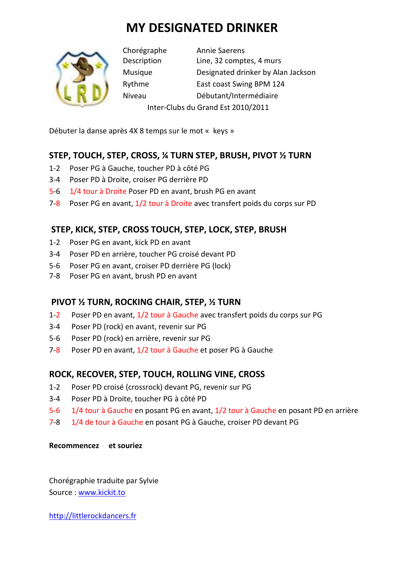# **MY DESIGNATED DRINKER**



Chorégraphe Annie Saerens Description Line, 32 comptes, 4 murs Musique Designated drinker by Alan Jackson Rythme East coast Swing BPM 124 Niveau Débutant/Intermédiaire Inter-Clubs du Grand Est 2010/2011

Débuter la danse après 4X 8 temps sur le mot « keys »

# **STEP, TOUCH, STEP, CROSS, ¼ TURN STEP, BRUSH, PIVOT ½ TURN**

- 1-2 Poser PG à Gauche, toucher PD à côté PG
- 3-4 Poser PD à Droite, croiser PG derrière PD
- 5-6 1/4 tour à Droite Poser PD en avant, brush PG en avant
- 7-8 Poser PG en avant, 1/2 tour à Droite avec transfert poids du corps sur PD

# **STEP, KICK, STEP, CROSS TOUCH, STEP, LOCK, STEP, BRUSH**

- 1-2 Poser PG en avant, kick PD en avant
- 3-4 Poser PD en arrière, toucher PG croisé devant PD
- 5-6 Poser PG en avant, croiser PD derrière PG (lock)
- 7-8 Poser PG en avant, brush PD en avant

### **PIVOT ½ TURN, ROCKING CHAIR, STEP, ½ TURN**

- 1-2 Poser PD en avant, 1/2 tour à Gauche avec transfert poids du corps sur PG
- 3-4 Poser PD (rock) en avant, revenir sur PG
- 5-6 Poser PD (rock) en arrière, revenir sur PG
- 7-8 Poser PD en avant, 1/2 tour à Gauche et poser PG à Gauche

### **ROCK, RECOVER, STEP, TOUCH, ROLLING VINE, CROSS**

- 1-2 Poser PD croisé (crossrock) devant PG, revenir sur PG
- 3-4 Poser PD à Droite, toucher PG à côté PD
- 5-6 1/4 tour à Gauche en posant PG en avant, 1/2 tour à Gauche en posant PD en arrière
- 7-8 1/4 de tour à Gauche en posant PG à Gauche, croiser PD devant PG

#### **Recommencez et souriez**

Chorégraphie traduite par Sylvie Source : www.kickit.to

http://littlerockdancers.fr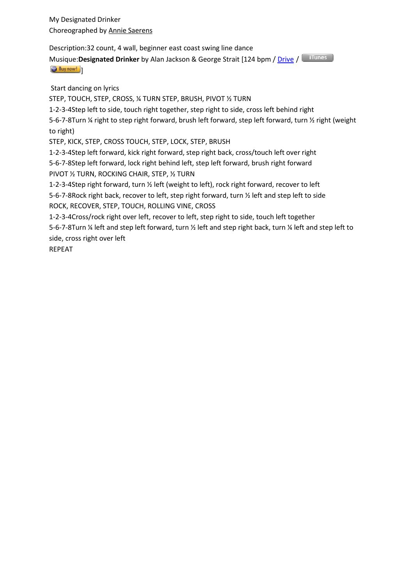My Designated Drinker Choreographed by Annie Saerens

Description:32 count, 4 wall, beginner east coast swing line dance

Musique:**Designated Drinker** by Alan Jackson & George Strait [124 bpm / Drive / U Buy now!

Start dancing on lyrics

STEP, TOUCH, STEP, CROSS, ¼ TURN STEP, BRUSH, PIVOT ½ TURN

1-2-3-4Step left to side, touch right together, step right to side, cross left behind right

5-6-7-8Turn ¼ right to step right forward, brush left forward, step left forward, turn ½ right (weight to right)

STEP, KICK, STEP, CROSS TOUCH, STEP, LOCK, STEP, BRUSH

1-2-3-4Step left forward, kick right forward, step right back, cross/touch left over right 5-6-7-8Step left forward, lock right behind left, step left forward, brush right forward PIVOT ½ TURN, ROCKING CHAIR, STEP, ½ TURN

1-2-3-4Step right forward, turn ½ left (weight to left), rock right forward, recover to left 5-6-7-8Rock right back, recover to left, step right forward, turn ½ left and step left to side ROCK, RECOVER, STEP, TOUCH, ROLLING VINE, CROSS

1-2-3-4Cross/rock right over left, recover to left, step right to side, touch left together 5-6-7-8Turn ¼ left and step left forward, turn ½ left and step right back, turn ¼ left and step left to side, cross right over left

REPEAT